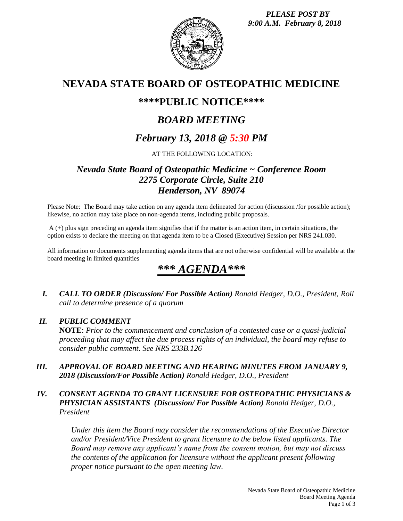

# **NEVADA STATE BOARD OF OSTEOPATHIC MEDICINE**

# **\*\*\*\*PUBLIC NOTICE\*\*\*\***

# *BOARD MEETING*

# *February 13, 2018 @ 5:30 PM*

AT THE FOLLOWING LOCATION:

# *Nevada State Board of Osteopathic Medicine ~ Conference Room 2275 Corporate Circle, Suite 210 Henderson, NV 89074*

Please Note: The Board may take action on any agenda item delineated for action (discussion /for possible action); likewise, no action may take place on non-agenda items, including public proposals.

A (+) plus sign preceding an agenda item signifies that if the matter is an action item, in certain situations, the option exists to declare the meeting on that agenda item to be a Closed (Executive) Session per NRS 241.030.

All information or documents supplementing agenda items that are not otherwise confidential will be available at the board meeting in limited quantities

# *\*\*\* AGENDA\*\*\**

*I. CALL TO ORDER (Discussion/ For Possible Action) Ronald Hedger, D.O., President, Roll call to determine presence of a quorum*

## *II. PUBLIC COMMENT*

**NOTE**: *Prior to the commencement and conclusion of a contested case or a quasi-judicial proceeding that may affect the due process rights of an individual, the board may refuse to consider public comment. See NRS 233B.126*

*III. APPROVAL OF BOARD MEETING AND HEARING MINUTES FROM JANUARY 9, 2018 (Discussion/For Possible Action) Ronald Hedger, D.O., President*

#### *IV. CONSENT AGENDA TO GRANT LICENSURE FOR OSTEOPATHIC PHYSICIANS & PHYSICIAN ASSISTANTS (Discussion/ For Possible Action) Ronald Hedger, D.O., President*

*Under this item the Board may consider the recommendations of the Executive Director and/or President/Vice President to grant licensure to the below listed applicants. The Board may remove any applicant's name from the consent motion, but may not discuss the contents of the application for licensure without the applicant present following proper notice pursuant to the open meeting law.*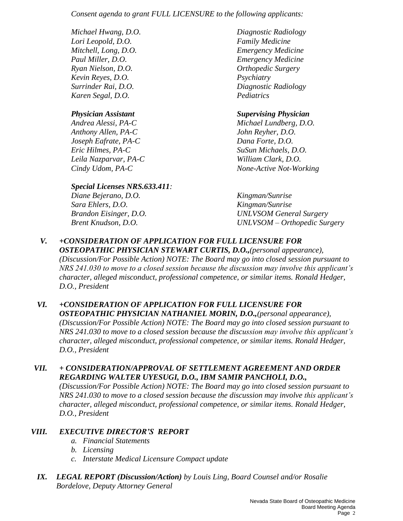*Consent agenda to grant FULL LICENSURE to the following applicants:*

*Lori Leopold, D.O. Family Medicine Ryan Nielson, D.O. Orthopedic Surgery Kevin Reyes, D.O. Psychiatry Karen Segal, D.O. Pediatrics*

*Anthony Allen, PA-C John Reyher, D.O. Joseph Eafrate, PA-C Dana Forte, D.O. Eric Hilmes, PA-C SuSun Michaels, D.O. Leila Nazparvar, PA-C William Clark, D.O.*

## *Special Licenses NRS.633.411:*

*Diane Bejerano, D.O. Kingman/Sunrise Sara Ehlers, D.O. Kingman/Sunrise*

*D.O., President* 

*Michael Hwang, D.O. Diagnostic Radiology Mitchell, Long, D.O. Emergency Medicine Paul Miller, D.O. Emergency Medicine Surrinder Rai, D.O. Diagnostic Radiology*

## *Physician Assistant Supervising Physician*

*Andrea Alessi, PA-C Michael Lundberg, D.O. Cindy Udom, PA-C None-Active Not-Working*

*Brandon Eisinger, D.O. UNLVSOM General Surgery Brent Knudson, D.O. UNLVSOM – Orthopedic Surgery*

#### *V. +CONSIDERATION OF APPLICATION FOR FULL LICENSURE FOR OSTEOPATHIC PHYSICIAN STEWART CURTIS, D.O.,(personal appearance), (Discussion/For Possible Action) NOTE: The Board may go into closed session pursuant to NRS 241.030 to move to a closed session because the discussion may involve this applicant's character, alleged misconduct, professional competence, or similar items. Ronald Hedger,*

## *VI. +CONSIDERATION OF APPLICATION FOR FULL LICENSURE FOR OSTEOPATHIC PHYSICIAN NATHANIEL MORIN, D.O.,(personal appearance), (Discussion/For Possible Action) NOTE: The Board may go into closed session pursuant to NRS 241.030 to move to a closed session because the discussion may involve this applicant's character, alleged misconduct, professional competence, or similar items. Ronald Hedger, D.O., President*

## *VII. + CONSIDERATION/APPROVAL OF SETTLEMENT AGREEMENT AND ORDER REGARDING WALTER UYESUGI, D.O., IBM SAMIR PANCHOLI, D.O.,*

*(Discussion/For Possible Action) NOTE: The Board may go into closed session pursuant to NRS 241.030 to move to a closed session because the discussion may involve this applicant's character, alleged misconduct, professional competence, or similar items. Ronald Hedger, D.O., President*

## *VIII. EXECUTIVE DIRECTOR'S REPORT*

- *a. Financial Statements*
- *b. Licensing*
- *c. Interstate Medical Licensure Compact update*
- *IX. LEGAL REPORT (Discussion/Action) by Louis Ling, Board Counsel and/or Rosalie Bordelove, Deputy Attorney General*